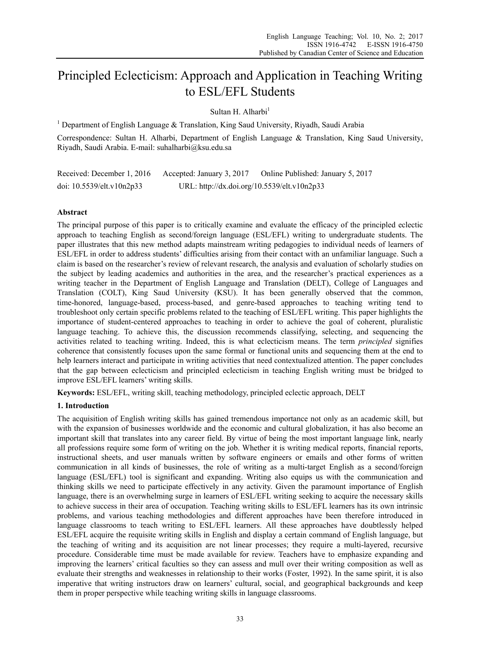# Principled Eclecticism: Approach and Application in Teaching Writing to ESL/EFL Students

Sultan H. Alharbi $<sup>1</sup>$ </sup>

<sup>1</sup> Department of English Language & Translation, King Saud University, Riyadh, Saudi Arabia

Correspondence: Sultan H. Alharbi, Department of English Language & Translation, King Saud University, Riyadh, Saudi Arabia. E-mail: suhalharbi@ksu.edu.sa

Received: December 1, 2016 Accepted: January 3, 2017 Online Published: January 5, 2017 doi: 10.5539/elt.v10n2p33 URL: http://dx.doi.org/10.5539/elt.v10n2p33

# **Abstract**

The principal purpose of this paper is to critically examine and evaluate the efficacy of the principled eclectic approach to teaching English as second/foreign language (ESL/EFL) writing to undergraduate students. The paper illustrates that this new method adapts mainstream writing pedagogies to individual needs of learners of ESL/EFL in order to address students' difficulties arising from their contact with an unfamiliar language. Such a claim is based on the researcher's review of relevant research, the analysis and evaluation of scholarly studies on the subject by leading academics and authorities in the area, and the researcher's practical experiences as a writing teacher in the Department of English Language and Translation (DELT), College of Languages and Translation (COLT), King Saud University (KSU). It has been generally observed that the common, time-honored, language-based, process-based, and genre-based approaches to teaching writing tend to troubleshoot only certain specific problems related to the teaching of ESL/EFL writing. This paper highlights the importance of student-centered approaches to teaching in order to achieve the goal of coherent, pluralistic language teaching. To achieve this, the discussion recommends classifying, selecting, and sequencing the activities related to teaching writing. Indeed, this is what eclecticism means. The term *principled* signifies coherence that consistently focuses upon the same formal or functional units and sequencing them at the end to help learners interact and participate in writing activities that need contextualized attention. The paper concludes that the gap between eclecticism and principled eclecticism in teaching English writing must be bridged to improve ESL/EFL learners' writing skills.

**Keywords:** ESL/EFL, writing skill, teaching methodology, principled eclectic approach, DELT

# **1. Introduction**

The acquisition of English writing skills has gained tremendous importance not only as an academic skill, but with the expansion of businesses worldwide and the economic and cultural globalization, it has also become an important skill that translates into any career field. By virtue of being the most important language link, nearly all professions require some form of writing on the job. Whether it is writing medical reports, financial reports, instructional sheets, and user manuals written by software engineers or emails and other forms of written communication in all kinds of businesses, the role of writing as a multi-target English as a second/foreign language (ESL/EFL) tool is significant and expanding. Writing also equips us with the communication and thinking skills we need to participate effectively in any activity. Given the paramount importance of English language, there is an overwhelming surge in learners of ESL/EFL writing seeking to acquire the necessary skills to achieve success in their area of occupation. Teaching writing skills to ESL/EFL learners has its own intrinsic problems, and various teaching methodologies and different approaches have been therefore introduced in language classrooms to teach writing to ESL/EFL learners. All these approaches have doubtlessly helped ESL/EFL acquire the requisite writing skills in English and display a certain command of English language, but the teaching of writing and its acquisition are not linear processes; they require a multi-layered, recursive procedure. Considerable time must be made available for review. Teachers have to emphasize expanding and improving the learners' critical faculties so they can assess and mull over their writing composition as well as evaluate their strengths and weaknesses in relationship to their works (Foster, 1992). In the same spirit, it is also imperative that writing instructors draw on learners' cultural, social, and geographical backgrounds and keep them in proper perspective while teaching writing skills in language classrooms.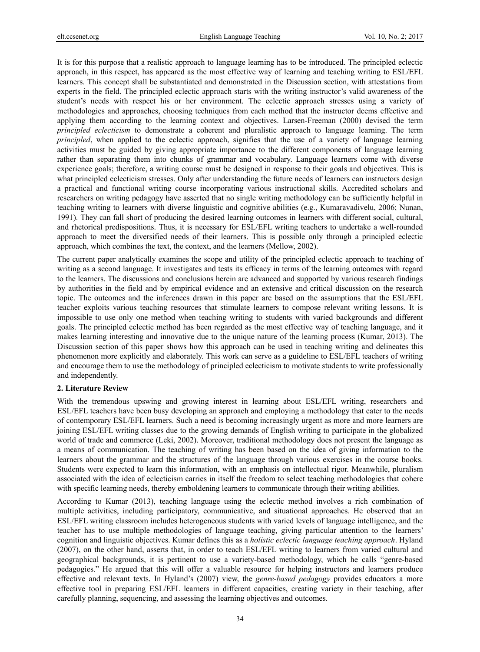It is for this purpose that a realistic approach to language learning has to be introduced. The principled eclectic approach, in this respect, has appeared as the most effective way of learning and teaching writing to ESL/EFL learners. This concept shall be substantiated and demonstrated in the Discussion section, with attestations from experts in the field. The principled eclectic approach starts with the writing instructor's valid awareness of the student's needs with respect his or her environment. The eclectic approach stresses using a variety of methodologies and approaches, choosing techniques from each method that the instructor deems effective and applying them according to the learning context and objectives. Larsen-Freeman (2000) devised the term *principled eclecticism* to demonstrate a coherent and pluralistic approach to language learning. The term *principled*, when applied to the eclectic approach, signifies that the use of a variety of language learning activities must be guided by giving appropriate importance to the different components of language learning rather than separating them into chunks of grammar and vocabulary. Language learners come with diverse experience goals; therefore, a writing course must be designed in response to their goals and objectives. This is what principled eclecticism stresses. Only after understanding the future needs of learners can instructors design a practical and functional writing course incorporating various instructional skills. Accredited scholars and researchers on writing pedagogy have asserted that no single writing methodology can be sufficiently helpful in teaching writing to learners with diverse linguistic and cognitive abilities (e.g., Kumaravadivelu, 2006; Nunan, 1991). They can fall short of producing the desired learning outcomes in learners with different social, cultural, and rhetorical predispositions. Thus, it is necessary for ESL/EFL writing teachers to undertake a well-rounded approach to meet the diversified needs of their learners. This is possible only through a principled eclectic approach, which combines the text, the context, and the learners (Mellow, 2002).

The current paper analytically examines the scope and utility of the principled eclectic approach to teaching of writing as a second language. It investigates and tests its efficacy in terms of the learning outcomes with regard to the learners. The discussions and conclusions herein are advanced and supported by various research findings by authorities in the field and by empirical evidence and an extensive and critical discussion on the research topic. The outcomes and the inferences drawn in this paper are based on the assumptions that the ESL/EFL teacher exploits various teaching resources that stimulate learners to compose relevant writing lessons. It is impossible to use only one method when teaching writing to students with varied backgrounds and different goals. The principled eclectic method has been regarded as the most effective way of teaching language, and it makes learning interesting and innovative due to the unique nature of the learning process (Kumar, 2013). The Discussion section of this paper shows how this approach can be used in teaching writing and delineates this phenomenon more explicitly and elaborately. This work can serve as a guideline to ESL/EFL teachers of writing and encourage them to use the methodology of principled eclecticism to motivate students to write professionally and independently.

### **2. Literature Review**

With the tremendous upswing and growing interest in learning about ESL/EFL writing, researchers and ESL/EFL teachers have been busy developing an approach and employing a methodology that cater to the needs of contemporary ESL/EFL learners. Such a need is becoming increasingly urgent as more and more learners are joining ESL/EFL writing classes due to the growing demands of English writing to participate in the globalized world of trade and commerce (Leki, 2002). Moreover, traditional methodology does not present the language as a means of communication. The teaching of writing has been based on the idea of giving information to the learners about the grammar and the structures of the language through various exercises in the course books. Students were expected to learn this information, with an emphasis on intellectual rigor. Meanwhile, pluralism associated with the idea of eclecticism carries in itself the freedom to select teaching methodologies that cohere with specific learning needs, thereby emboldening learners to communicate through their writing abilities.

According to Kumar (2013), teaching language using the eclectic method involves a rich combination of multiple activities, including participatory, communicative, and situational approaches. He observed that an ESL/EFL writing classroom includes heterogeneous students with varied levels of language intelligence, and the teacher has to use multiple methodologies of language teaching, giving particular attention to the learners' cognition and linguistic objectives. Kumar defines this as a *holistic eclectic language teaching approach*. Hyland (2007), on the other hand, asserts that, in order to teach ESL/EFL writing to learners from varied cultural and geographical backgrounds, it is pertinent to use a variety-based methodology, which he calls "genre-based pedagogies." He argued that this will offer a valuable resource for helping instructors and learners produce effective and relevant texts. In Hyland's (2007) view, the *genre-based pedagogy* provides educators a more effective tool in preparing ESL/EFL learners in different capacities, creating variety in their teaching, after carefully planning, sequencing, and assessing the learning objectives and outcomes.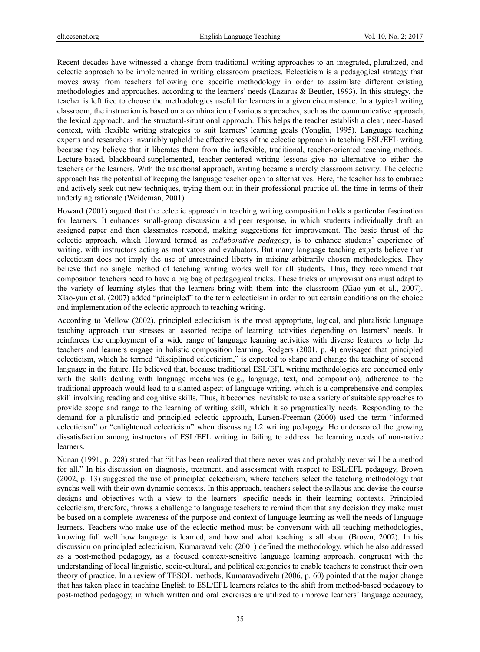Recent decades have witnessed a change from traditional writing approaches to an integrated, pluralized, and eclectic approach to be implemented in writing classroom practices. Eclecticism is a pedagogical strategy that moves away from teachers following one specific methodology in order to assimilate different existing methodologies and approaches, according to the learners' needs (Lazarus & Beutler, 1993). In this strategy, the teacher is left free to choose the methodologies useful for learners in a given circumstance. In a typical writing classroom, the instruction is based on a combination of various approaches, such as the communicative approach, the lexical approach, and the structural-situational approach. This helps the teacher establish a clear, need-based context, with flexible writing strategies to suit learners' learning goals (Yonglin, 1995). Language teaching experts and researchers invariably uphold the effectiveness of the eclectic approach in teaching ESL/EFL writing because they believe that it liberates them from the inflexible, traditional, teacher-oriented teaching methods. Lecture-based, blackboard-supplemented, teacher-centered writing lessons give no alternative to either the teachers or the learners. With the traditional approach, writing became a merely classroom activity. The eclectic approach has the potential of keeping the language teacher open to alternatives. Here, the teacher has to embrace and actively seek out new techniques, trying them out in their professional practice all the time in terms of their underlying rationale (Weideman, 2001).

Howard (2001) argued that the eclectic approach in teaching writing composition holds a particular fascination for learners. It enhances small-group discussion and peer response, in which students individually draft an assigned paper and then classmates respond, making suggestions for improvement. The basic thrust of the eclectic approach, which Howard termed as *collaborative pedagogy*, is to enhance students' experience of writing, with instructors acting as motivators and evaluators. But many language teaching experts believe that eclecticism does not imply the use of unrestrained liberty in mixing arbitrarily chosen methodologies. They believe that no single method of teaching writing works well for all students. Thus, they recommend that composition teachers need to have a big bag of pedagogical tricks. These tricks or improvisations must adapt to the variety of learning styles that the learners bring with them into the classroom (Xiao-yun et al., 2007). Xiao-yun et al. (2007) added "principled" to the term eclecticism in order to put certain conditions on the choice and implementation of the eclectic approach to teaching writing.

According to Mellow (2002), principled eclecticism is the most appropriate, logical, and pluralistic language teaching approach that stresses an assorted recipe of learning activities depending on learners' needs. It reinforces the employment of a wide range of language learning activities with diverse features to help the teachers and learners engage in holistic composition learning. Rodgers (2001, p. 4) envisaged that principled eclecticism, which he termed "disciplined eclecticism," is expected to shape and change the teaching of second language in the future. He believed that, because traditional ESL/EFL writing methodologies are concerned only with the skills dealing with language mechanics (e.g., language, text, and composition), adherence to the traditional approach would lead to a slanted aspect of language writing, which is a comprehensive and complex skill involving reading and cognitive skills. Thus, it becomes inevitable to use a variety of suitable approaches to provide scope and range to the learning of writing skill, which it so pragmatically needs. Responding to the demand for a pluralistic and principled eclectic approach, Larsen-Freeman (2000) used the term "informed eclecticism" or "enlightened eclecticism" when discussing L2 writing pedagogy. He underscored the growing dissatisfaction among instructors of ESL/EFL writing in failing to address the learning needs of non-native learners.

Nunan (1991, p. 228) stated that "it has been realized that there never was and probably never will be a method for all." In his discussion on diagnosis, treatment, and assessment with respect to ESL/EFL pedagogy, Brown (2002, p. 13) suggested the use of principled eclecticism, where teachers select the teaching methodology that synchs well with their own dynamic contexts. In this approach, teachers select the syllabus and devise the course designs and objectives with a view to the learners' specific needs in their learning contexts. Principled eclecticism, therefore, throws a challenge to language teachers to remind them that any decision they make must be based on a complete awareness of the purpose and context of language learning as well the needs of language learners. Teachers who make use of the eclectic method must be conversant with all teaching methodologies, knowing full well how language is learned, and how and what teaching is all about (Brown, 2002). In his discussion on principled eclecticism, Kumaravadivelu (2001) defined the methodology, which he also addressed as a post-method pedagogy, as a focused context-sensitive language learning approach, congruent with the understanding of local linguistic, socio-cultural, and political exigencies to enable teachers to construct their own theory of practice. In a review of TESOL methods, Kumaravadivelu (2006, p. 60) pointed that the major change that has taken place in teaching English to ESL/EFL learners relates to the shift from method-based pedagogy to post-method pedagogy, in which written and oral exercises are utilized to improve learners' language accuracy,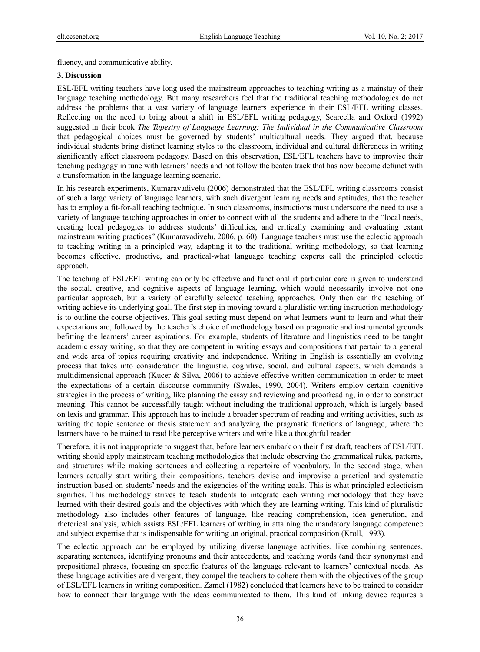fluency, and communicative ability.

## **3. Discussion**

ESL/EFL writing teachers have long used the mainstream approaches to teaching writing as a mainstay of their language teaching methodology. But many researchers feel that the traditional teaching methodologies do not address the problems that a vast variety of language learners experience in their ESL/EFL writing classes. Reflecting on the need to bring about a shift in ESL/EFL writing pedagogy, Scarcella and Oxford (1992) suggested in their book *The Tapestry of Language Learning: The Individual in the Communicative Classroom* that pedagogical choices must be governed by students' multicultural needs. They argued that, because individual students bring distinct learning styles to the classroom, individual and cultural differences in writing significantly affect classroom pedagogy. Based on this observation, ESL/EFL teachers have to improvise their teaching pedagogy in tune with learners' needs and not follow the beaten track that has now become defunct with a transformation in the language learning scenario.

In his research experiments, Kumaravadivelu (2006) demonstrated that the ESL/EFL writing classrooms consist of such a large variety of language learners, with such divergent learning needs and aptitudes, that the teacher has to employ a fit-for-all teaching technique. In such classrooms, instructions must underscore the need to use a variety of language teaching approaches in order to connect with all the students and adhere to the "local needs, creating local pedagogies to address students' difficulties, and critically examining and evaluating extant mainstream writing practices" (Kumaravadivelu, 2006, p. 60). Language teachers must use the eclectic approach to teaching writing in a principled way, adapting it to the traditional writing methodology, so that learning becomes effective, productive, and practical-what language teaching experts call the principled eclectic approach.

The teaching of ESL/EFL writing can only be effective and functional if particular care is given to understand the social, creative, and cognitive aspects of language learning, which would necessarily involve not one particular approach, but a variety of carefully selected teaching approaches. Only then can the teaching of writing achieve its underlying goal. The first step in moving toward a pluralistic writing instruction methodology is to outline the course objectives. This goal setting must depend on what learners want to learn and what their expectations are, followed by the teacher's choice of methodology based on pragmatic and instrumental grounds befitting the learners' career aspirations. For example, students of literature and linguistics need to be taught academic essay writing, so that they are competent in writing essays and compositions that pertain to a general and wide area of topics requiring creativity and independence. Writing in English is essentially an evolving process that takes into consideration the linguistic, cognitive, social, and cultural aspects, which demands a multidimensional approach (Kucer & Silva, 2006) to achieve effective written communication in order to meet the expectations of a certain discourse community (Swales, 1990, 2004). Writers employ certain cognitive strategies in the process of writing, like planning the essay and reviewing and proofreading, in order to construct meaning. This cannot be successfully taught without including the traditional approach, which is largely based on lexis and grammar. This approach has to include a broader spectrum of reading and writing activities, such as writing the topic sentence or thesis statement and analyzing the pragmatic functions of language, where the learners have to be trained to read like perceptive writers and write like a thoughtful reader.

Therefore, it is not inappropriate to suggest that, before learners embark on their first draft, teachers of ESL/EFL writing should apply mainstream teaching methodologies that include observing the grammatical rules, patterns, and structures while making sentences and collecting a repertoire of vocabulary. In the second stage, when learners actually start writing their compositions, teachers devise and improvise a practical and systematic instruction based on students' needs and the exigencies of the writing goals. This is what principled eclecticism signifies. This methodology strives to teach students to integrate each writing methodology that they have learned with their desired goals and the objectives with which they are learning writing. This kind of pluralistic methodology also includes other features of language, like reading comprehension, idea generation, and rhetorical analysis, which assists ESL/EFL learners of writing in attaining the mandatory language competence and subject expertise that is indispensable for writing an original, practical composition (Kroll, 1993).

The eclectic approach can be employed by utilizing diverse language activities, like combining sentences, separating sentences, identifying pronouns and their antecedents, and teaching words (and their synonyms) and prepositional phrases, focusing on specific features of the language relevant to learners' contextual needs. As these language activities are divergent, they compel the teachers to cohere them with the objectives of the group of ESL/EFL learners in writing composition. Zamel (1982) concluded that learners have to be trained to consider how to connect their language with the ideas communicated to them. This kind of linking device requires a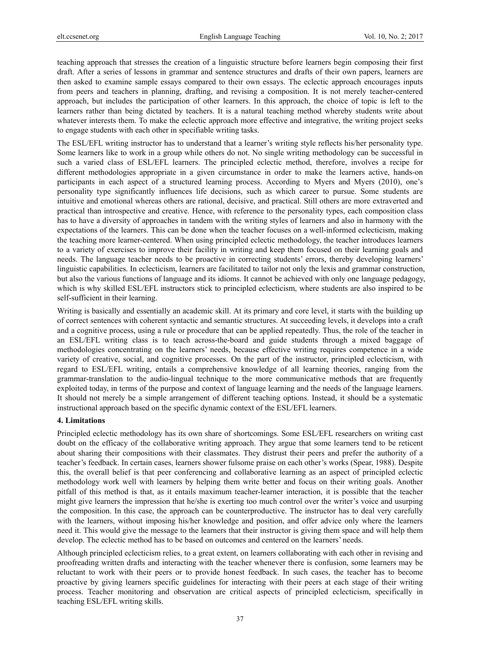teaching approach that stresses the creation of a linguistic structure before learners begin composing their first draft. After a series of lessons in grammar and sentence structures and drafts of their own papers, learners are then asked to examine sample essays compared to their own essays. The eclectic approach encourages inputs from peers and teachers in planning, drafting, and revising a composition. It is not merely teacher-centered approach, but includes the participation of other learners. In this approach, the choice of topic is left to the learners rather than being dictated by teachers. It is a natural teaching method whereby students write about whatever interests them. To make the eclectic approach more effective and integrative, the writing project seeks to engage students with each other in specifiable writing tasks.

The ESL/EFL writing instructor has to understand that a learner's writing style reflects his/her personality type. Some learners like to work in a group while others do not. No single writing methodology can be successful in such a varied class of ESL/EFL learners. The principled eclectic method, therefore, involves a recipe for different methodologies appropriate in a given circumstance in order to make the learners active, hands-on participants in each aspect of a structured learning process. According to Myers and Myers (2010), one's personality type significantly influences life decisions, such as which career to pursue. Some students are intuitive and emotional whereas others are rational, decisive, and practical. Still others are more extraverted and practical than introspective and creative. Hence, with reference to the personality types, each composition class has to have a diversity of approaches in tandem with the writing styles of learners and also in harmony with the expectations of the learners. This can be done when the teacher focuses on a well-informed eclecticism, making the teaching more learner-centered. When using principled eclectic methodology, the teacher introduces learners to a variety of exercises to improve their facility in writing and keep them focused on their learning goals and needs. The language teacher needs to be proactive in correcting students' errors, thereby developing learners' linguistic capabilities. In eclecticism, learners are facilitated to tailor not only the lexis and grammar construction, but also the various functions of language and its idioms. It cannot be achieved with only one language pedagogy, which is why skilled ESL/EFL instructors stick to principled eclecticism, where students are also inspired to be self-sufficient in their learning.

Writing is basically and essentially an academic skill. At its primary and core level, it starts with the building up of correct sentences with coherent syntactic and semantic structures. At succeeding levels, it develops into a craft and a cognitive process, using a rule or procedure that can be applied repeatedly. Thus, the role of the teacher in an ESL/EFL writing class is to teach across-the-board and guide students through a mixed baggage of methodologies concentrating on the learners' needs, because effective writing requires competence in a wide variety of creative, social, and cognitive processes. On the part of the instructor, principled eclecticism, with regard to ESL/EFL writing, entails a comprehensive knowledge of all learning theories, ranging from the grammar-translation to the audio-lingual technique to the more communicative methods that are frequently exploited today, in terms of the purpose and context of language learning and the needs of the language learners. It should not merely be a simple arrangement of different teaching options. Instead, it should be a systematic instructional approach based on the specific dynamic context of the ESL/EFL learners.

# **4. Limitations**

Principled eclectic methodology has its own share of shortcomings. Some ESL/EFL researchers on writing cast doubt on the efficacy of the collaborative writing approach. They argue that some learners tend to be reticent about sharing their compositions with their classmates. They distrust their peers and prefer the authority of a teacher's feedback. In certain cases, learners shower fulsome praise on each other's works (Spear, 1988). Despite this, the overall belief is that peer conferencing and collaborative learning as an aspect of principled eclectic methodology work well with learners by helping them write better and focus on their writing goals. Another pitfall of this method is that, as it entails maximum teacher-learner interaction, it is possible that the teacher might give learners the impression that he/she is exerting too much control over the writer's voice and usurping the composition. In this case, the approach can be counterproductive. The instructor has to deal very carefully with the learners, without imposing his/her knowledge and position, and offer advice only where the learners need it. This would give the message to the learners that their instructor is giving them space and will help them develop. The eclectic method has to be based on outcomes and centered on the learners' needs.

Although principled eclecticism relies, to a great extent, on learners collaborating with each other in revising and proofreading written drafts and interacting with the teacher whenever there is confusion, some learners may be reluctant to work with their peers or to provide honest feedback. In such cases, the teacher has to become proactive by giving learners specific guidelines for interacting with their peers at each stage of their writing process. Teacher monitoring and observation are critical aspects of principled eclecticism, specifically in teaching ESL/EFL writing skills.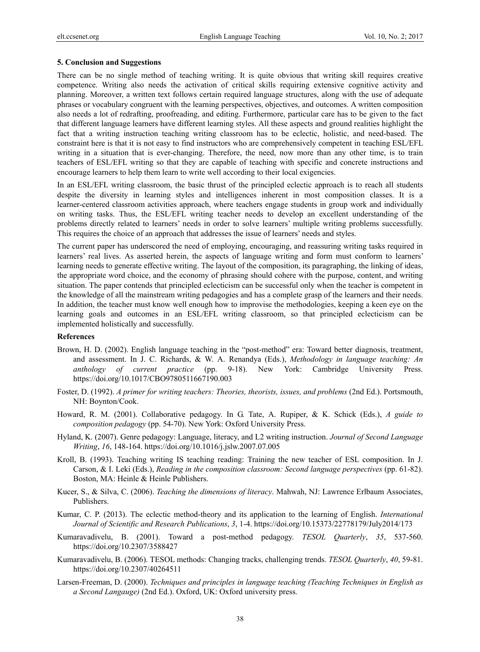## **5. Conclusion and Suggestions**

There can be no single method of teaching writing. It is quite obvious that writing skill requires creative competence. Writing also needs the activation of critical skills requiring extensive cognitive activity and planning. Moreover, a written text follows certain required language structures, along with the use of adequate phrases or vocabulary congruent with the learning perspectives, objectives, and outcomes. A written composition also needs a lot of redrafting, proofreading, and editing. Furthermore, particular care has to be given to the fact that different language learners have different learning styles. All these aspects and ground realities highlight the fact that a writing instruction teaching writing classroom has to be eclectic, holistic, and need-based. The constraint here is that it is not easy to find instructors who are comprehensively competent in teaching ESL/EFL writing in a situation that is ever-changing. Therefore, the need, now more than any other time, is to train teachers of ESL/EFL writing so that they are capable of teaching with specific and concrete instructions and encourage learners to help them learn to write well according to their local exigencies.

In an ESL/EFL writing classroom, the basic thrust of the principled eclectic approach is to reach all students despite the diversity in learning styles and intelligences inherent in most composition classes. It is a learner-centered classroom activities approach, where teachers engage students in group work and individually on writing tasks. Thus, the ESL/EFL writing teacher needs to develop an excellent understanding of the problems directly related to learners' needs in order to solve learners' multiple writing problems successfully. This requires the choice of an approach that addresses the issue of learners' needs and styles.

The current paper has underscored the need of employing, encouraging, and reassuring writing tasks required in learners' real lives. As asserted herein, the aspects of language writing and form must conform to learners' learning needs to generate effective writing. The layout of the composition, its paragraphing, the linking of ideas, the appropriate word choice, and the economy of phrasing should cohere with the purpose, content, and writing situation. The paper contends that principled eclecticism can be successful only when the teacher is competent in the knowledge of all the mainstream writing pedagogies and has a complete grasp of the learners and their needs. In addition, the teacher must know well enough how to improvise the methodologies, keeping a keen eye on the learning goals and outcomes in an ESL/EFL writing classroom, so that principled eclecticism can be implemented holistically and successfully.

## **References**

- Brown, H. D. (2002). English language teaching in the "post-method" era: Toward better diagnosis, treatment, and assessment. In J. C. Richards, & W. A. Renandya (Eds.), *Methodology in language teaching: An anthology of current practice* (pp. 9-18). New York: Cambridge University Press. https://doi.org/10.1017/CBO9780511667190.003
- Foster, D. (1992). *A primer for writing teachers: Theories, theorists, issues, and problems* (2nd Ed.). Portsmouth, NH: Boynton/Cook.
- Howard, R. M. (2001). Collaborative pedagogy. In G. Tate, A. Rupiper, & K. Schick (Eds.), *A guide to composition pedagogy* (pp. 54-70). New York: Oxford University Press.
- Hyland, K. (2007). Genre pedagogy: Language, literacy, and L2 writing instruction. *Journal of Second Language Writing*, *16*, 148-164. https://doi.org/10.1016/j.jslw.2007.07.005
- Kroll, B. (1993). Teaching writing IS teaching reading: Training the new teacher of ESL composition. In J. Carson, & I. Leki (Eds.), *Reading in the composition classroom: Second language perspectives* (pp. 61-82). Boston, MA: Heinle & Heinle Publishers.
- Kucer, S., & Silva, C. (2006). *Teaching the dimensions of literacy*. Mahwah, NJ: Lawrence Erlbaum Associates, Publishers.
- Kumar, C. P. (2013). The eclectic method-theory and its application to the learning of English. *International Journal of Scientific and Research Publications*, *3*, 1-4. https://doi.org/10.15373/22778179/July2014/173
- Kumaravadivelu, B. (2001). Toward a post-method pedagogy. *TESOL Quarterly*, *35*, 537-560. https://doi.org/10.2307/3588427
- Kumaravadivelu, B. (2006). TESOL methods: Changing tracks, challenging trends. *TESOL Quarterly*, *40*, 59-81. https://doi.org/10.2307/40264511
- Larsen-Freeman, D. (2000). *Techniques and principles in language teaching (Teaching Techniques in English as a Second Langauge)* (2nd Ed.). Oxford, UK: Oxford university press.